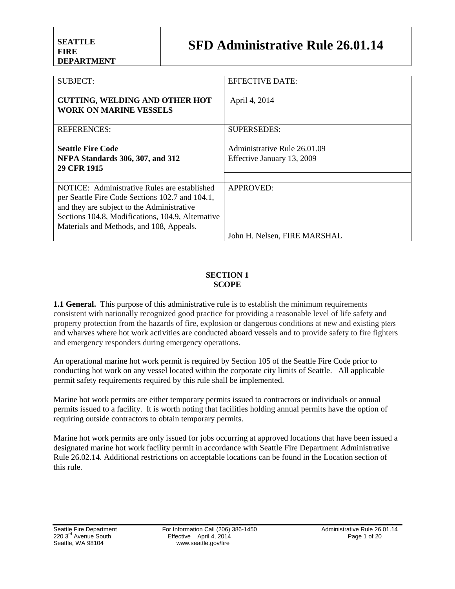| <b>SUBJECT:</b>                                   | EFFECTIVE DATE:              |
|---------------------------------------------------|------------------------------|
|                                                   |                              |
|                                                   |                              |
| <b>CUTTING, WELDING AND OTHER HOT</b>             | April 4, 2014                |
| <b>WORK ON MARINE VESSELS</b>                     |                              |
|                                                   |                              |
|                                                   |                              |
| <b>REFERENCES:</b>                                | SUPERSEDES:                  |
|                                                   |                              |
| <b>Seattle Fire Code</b>                          | Administrative Rule 26.01.09 |
| <b>NFPA Standards 306, 307, and 312</b>           | Effective January 13, 2009   |
|                                                   |                              |
| 29 CFR 1915                                       |                              |
|                                                   |                              |
| NOTICE: Administrative Rules are established      | APPROVED:                    |
| per Seattle Fire Code Sections 102.7 and 104.1,   |                              |
|                                                   |                              |
| and they are subject to the Administrative        |                              |
| Sections 104.8, Modifications, 104.9, Alternative |                              |
| Materials and Methods, and 108, Appeals.          |                              |
|                                                   | John H. Nelsen, FIRE MARSHAL |

### **SECTION 1 SCOPE**

**1.1 General.** This purpose of this administrative rule is to establish the minimum requirements consistent with nationally recognized good practice for providing a reasonable level of life safety and property protection from the hazards of fire, explosion or dangerous conditions at new and existing piers and wharves where hot work activities are conducted aboard vessels and to provide safety to fire fighters and emergency responders during emergency operations.

An operational marine hot work permit is required by Section 105 of the Seattle Fire Code prior to conducting hot work on any vessel located within the corporate city limits of Seattle. All applicable permit safety requirements required by this rule shall be implemented.

Marine hot work permits are either temporary permits issued to contractors or individuals or annual permits issued to a facility. It is worth noting that facilities holding annual permits have the option of requiring outside contractors to obtain temporary permits.

Marine hot work permits are only issued for jobs occurring at approved locations that have been issued a designated marine hot work facility permit in accordance with Seattle Fire Department Administrative Rule 26.02.14. Additional restrictions on acceptable locations can be found in the Location section of this rule.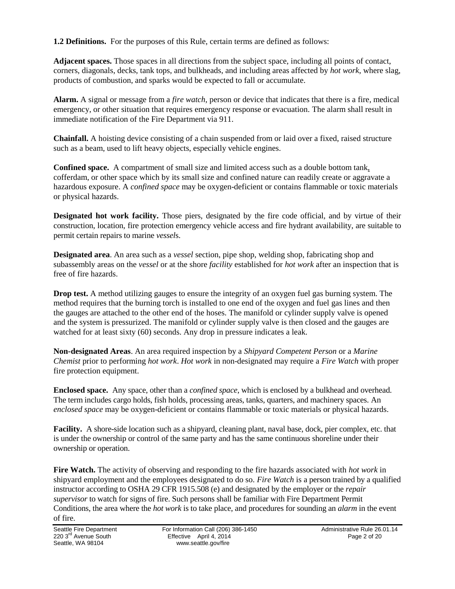**1.2 Definitions.** For the purposes of this Rule, certain terms are defined as follows:

**Adjacent spaces.** Those spaces in all directions from the subject space, including all points of contact, corners, diagonals, decks, tank tops, and bulkheads, and including areas affected by *hot work*, where slag, products of combustion, and sparks would be expected to fall or accumulate.

**Alarm.** A signal or message from a *fire watch*, person or device that indicates that there is a fire, medical emergency, or other situation that requires emergency response or evacuation. The alarm shall result in immediate notification of the Fire Department via 911.

**Chainfall.** A hoisting device consisting of a chain suspended from or laid over a fixed, raised structure such as a beam, used to lift heavy objects, especially vehicle engines.

**Confined space.** A compartment of small size and limited access such as a double bottom tank, cofferdam, or other space which by its small size and confined nature can readily create or aggravate a hazardous exposure. A *confined space* may be oxygen-deficient or contains flammable or toxic materials or physical hazards.

**Designated hot work facility.** Those piers, designated by the fire code official, and by virtue of their construction, location, fire protection emergency vehicle access and fire hydrant availability, are suitable to permit certain repairs to marine *vessel*s.

**Designated area**. An area such as a *vessel* section, pipe shop, welding shop, fabricating shop and subassembly areas on the *vessel* or at the shore *facility* established for *hot work* after an inspection that is free of fire hazards.

**Drop test.** A method utilizing gauges to ensure the integrity of an oxygen fuel gas burning system. The method requires that the burning torch is installed to one end of the oxygen and fuel gas lines and then the gauges are attached to the other end of the hoses. The manifold or cylinder supply valve is opened and the system is pressurized. The manifold or cylinder supply valve is then closed and the gauges are watched for at least sixty (60) seconds. Any drop in pressure indicates a leak.

**Non-designated Areas**. An area required inspection by a *Shipyard Competent Person* or a *Marine Chemist* prior to performing *hot work*. *Hot work* in non-designated may require a *Fire Watch* with proper fire protection equipment.

**Enclosed space.** Any space, other than a *confined space*, which is enclosed by a bulkhead and overhead. The term includes cargo holds, fish holds, processing areas, tanks, quarters, and machinery spaces. An *enclosed space* may be oxygen-deficient or contains flammable or toxic materials or physical hazards.

**Facility.** A shore-side location such as a shipyard, cleaning plant, naval base, dock, pier complex, etc. that is under the ownership or control of the same party and has the same continuous shoreline under their ownership or operation.

**Fire Watch.** The activity of observing and responding to the fire hazards associated with *hot work* in shipyard employment and the employees designated to do so. *Fire Watch* is a person trained by a qualified instructor according to OSHA 29 CFR 1915.508 (e) and designated by the employer or the *repair supervisor* to watch for signs of fire. Such persons shall be familiar with Fire Department Permit Conditions, the area where the *hot work* is to take place, and procedures for sounding an *alarm* in the event of fire.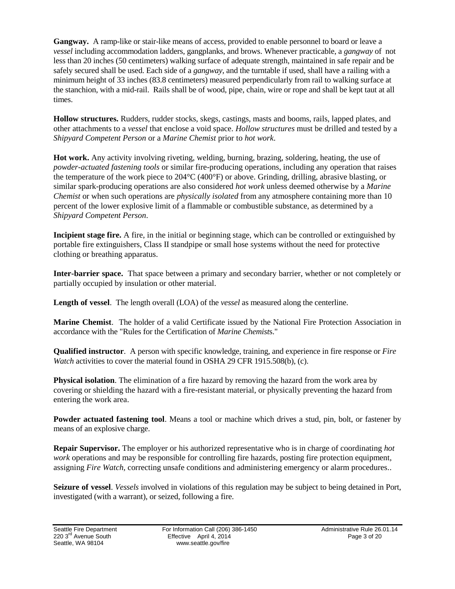**Gangway.** A ramp-like or stair-like means of access, provided to enable personnel to board or leave a *vessel* including accommodation ladders, gangplanks, and brows. Whenever practicable, a *gangway* of not less than 20 inches (50 centimeters) walking surface of adequate strength, maintained in safe repair and be safely secured shall be used. Each side of a *gangway*, and the turntable if used, shall have a railing with a minimum height of 33 inches (83.8 centimeters) measured perpendicularly from rail to walking surface at the stanchion, with a mid-rail. Rails shall be of wood, pipe, chain, wire or rope and shall be kept taut at all times.

**Hollow structures.** Rudders, rudder stocks, skegs, castings, masts and booms, rails, lapped plates, and other attachments to a *vessel* that enclose a void space. *Hollow structures* must be drilled and tested by a *Shipyard Competent Person* or a *Marine Chemist* prior to *hot work*.

**Hot work.** Any activity involving riveting, welding, burning, brazing, soldering, heating, the use of *powder-actuated fastening tools* or similar fire-producing operations, including any operation that raises the temperature of the work piece to  $204^{\circ}C$  (400°F) or above. Grinding, drilling, abrasive blasting, or similar spark-producing operations are also considered *hot work* unless deemed otherwise by a *Marine Chemist* or when such operations are *physically isolated* from any atmosphere containing more than 10 percent of the lower explosive limit of a flammable or combustible substance, as determined by a *Shipyard Competent Person*.

**Incipient stage fire.** A fire, in the initial or beginning stage, which can be controlled or extinguished by portable fire extinguishers, Class II standpipe or small hose systems without the need for protective clothing or breathing apparatus.

**Inter-barrier space.** That space between a primary and secondary barrier, whether or not completely or partially occupied by insulation or other material.

**Length of vessel**. The length overall (LOA) of the *vessel* as measured along the centerline.

**Marine Chemist**. The holder of a valid Certificate issued by the National Fire Protection Association in accordance with the "Rules for the Certification of *Marine Chemist*s."

**Qualified instructor**. A person with specific knowledge, training, and experience in fire response or *Fire Watch* activities to cover the material found in OSHA 29 CFR 1915.508(b), (c).

**Physical isolation**. The elimination of a fire hazard by removing the hazard from the work area by covering or shielding the hazard with a fire-resistant material, or physically preventing the hazard from entering the work area.

**Powder actuated fastening tool**. Means a tool or machine which drives a stud, pin, bolt, or fastener by means of an explosive charge.

**Repair Supervisor.** The employer or his authorized representative who is in charge of coordinating *hot work* operations and may be responsible for controlling fire hazards, posting fire protection equipment, assigning *Fire Watch,* correcting unsafe conditions and administering emergency or alarm procedures..

**Seizure of vessel**. *Vessels* involved in violations of this regulation may be subject to being detained in Port, investigated (with a warrant), or seized, following a fire.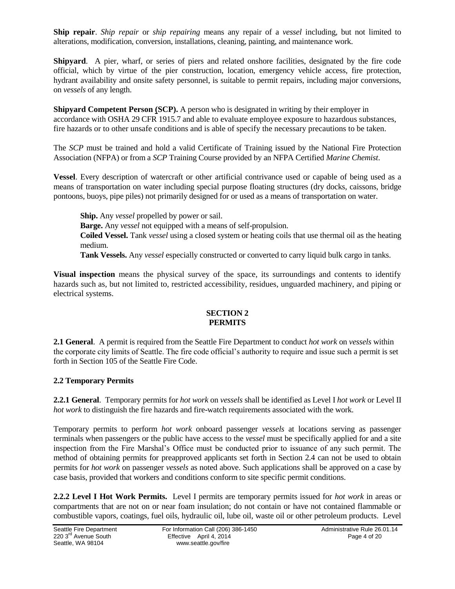**Ship repair**. *Ship repair* or *ship repairing* means any repair of a *vessel* including, but not limited to alterations, modification, conversion, installations, cleaning, painting, and maintenance work.

**Shipyard.** A pier, wharf, or series of piers and related onshore facilities, designated by the fire code official, which by virtue of the pier construction, location, emergency vehicle access, fire protection, hydrant availability and onsite safety personnel, is suitable to permit repairs, including major conversions, on *vessels* of any length.

**Shipyard Competent Person (SCP).** A person who is designated in writing by their employer in accordance with OSHA 29 CFR 1915.7 and able to evaluate employee exposure to hazardous substances, fire hazards or to other unsafe conditions and is able of specify the necessary precautions to be taken.

The *SCP* must be trained and hold a valid Certificate of Training issued by the National Fire Protection Association (NFPA) or from a *SCP* Training Course provided by an NFPA Certified *Marine Chemist*.

**Vessel**. Every description of watercraft or other artificial contrivance used or capable of being used as a means of transportation on water including special purpose floating structures (dry docks, caissons, bridge pontoons, buoys, pipe piles) not primarily designed for or used as a means of transportation on water.

**Ship.** Any *vessel* propelled by power or sail. **Barge.** Any *vessel* not equipped with a means of self-propulsion. **Coiled Vessel.** Tank *vessel* using a closed system or heating coils that use thermal oil as the heating medium. **Tank Vessels.** Any *vessel* especially constructed or converted to carry liquid bulk cargo in tanks.

**Visual inspection** means the physical survey of the space, its surroundings and contents to identify hazards such as, but not limited to, restricted accessibility, residues, unguarded machinery, and piping or electrical systems.

### **SECTION 2 PERMITS**

**2.1 General**. A permit is required from the Seattle Fire Department to conduct *hot work* on *vessels* within the corporate city limits of Seattle. The fire code official's authority to require and issue such a permit is set forth in Section 105 of the Seattle Fire Code.

## **2.2 Temporary Permits**

**2.2.1 General**. Temporary permits for *hot work* on *vessels* shall be identified as Level I *hot work* or Level II *hot work* to distinguish the fire hazards and fire-watch requirements associated with the work.

Temporary permits to perform *hot work* onboard passenger *vessels* at locations serving as passenger terminals when passengers or the public have access to the *vessel* must be specifically applied for and a site inspection from the Fire Marshal's Office must be conducted prior to issuance of any such permit. The method of obtaining permits for preapproved applicants set forth in Section 2.4 can not be used to obtain permits for *hot work* on passenger *vessels* as noted above. Such applications shall be approved on a case by case basis, provided that workers and conditions conform to site specific permit conditions.

**2.2.2 Level I Hot Work Permits.** Level I permits are temporary permits issued for *hot work* in areas or compartments that are not on or near foam insulation; do not contain or have not contained flammable or combustible vapors, coatings, fuel oils, hydraulic oil, lube oil, waste oil or other petroleum products. Level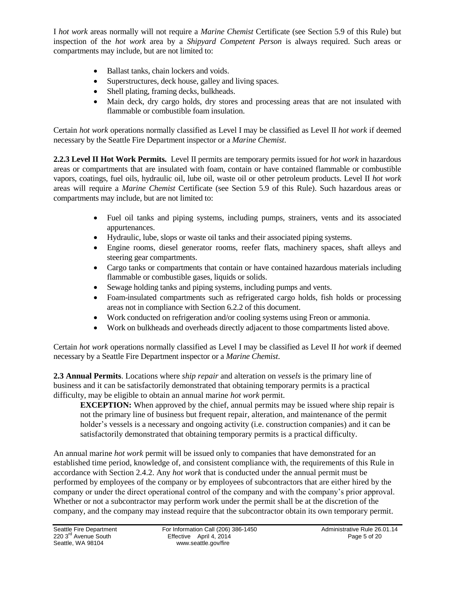I *hot work* areas normally will not require a *Marine Chemist* Certificate (see Section 5.9 of this Rule) but inspection of the *hot work* area by a *Shipyard Competent Person* is always required. Such areas or compartments may include, but are not limited to:

- Ballast tanks, chain lockers and voids.
- Superstructures, deck house, galley and living spaces.
- Shell plating, framing decks, bulkheads.
- Main deck, dry cargo holds, dry stores and processing areas that are not insulated with flammable or combustible foam insulation.

Certain *hot work* operations normally classified as Level I may be classified as Level II *hot work* if deemed necessary by the Seattle Fire Department inspector or a *Marine Chemist*.

**2.2.3 Level II Hot Work Permits.** Level II permits are temporary permits issued for *hot work* in hazardous areas or compartments that are insulated with foam, contain or have contained flammable or combustible vapors, coatings, fuel oils, hydraulic oil, lube oil, waste oil or other petroleum products. Level II *hot work* areas will require a *Marine Chemist* Certificate (see Section 5.9 of this Rule). Such hazardous areas or compartments may include, but are not limited to:

- Fuel oil tanks and piping systems, including pumps, strainers, vents and its associated appurtenances.
- Hydraulic, lube, slops or waste oil tanks and their associated piping systems.
- Engine rooms, diesel generator rooms, reefer flats, machinery spaces, shaft alleys and steering gear compartments.
- Cargo tanks or compartments that contain or have contained hazardous materials including flammable or combustible gases, liquids or solids.
- Sewage holding tanks and piping systems, including pumps and vents.
- Foam-insulated compartments such as refrigerated cargo holds, fish holds or processing areas not in compliance with Section 6.2.2 of this document.
- Work conducted on refrigeration and/or cooling systems using Freon or ammonia.
- Work on bulkheads and overheads directly adjacent to those compartments listed above.

Certain *hot work* operations normally classified as Level I may be classified as Level II *hot work* if deemed necessary by a Seattle Fire Department inspector or a *Marine Chemist*.

**2.3 Annual Permits**. Locations where *ship repair* and alteration on *vessels* is the primary line of business and it can be satisfactorily demonstrated that obtaining temporary permits is a practical difficulty, may be eligible to obtain an annual marine *hot work* permit.

**EXCEPTION:** When approved by the chief, annual permits may be issued where ship repair is not the primary line of business but frequent repair, alteration, and maintenance of the permit holder's vessels is a necessary and ongoing activity (i.e. construction companies) and it can be satisfactorily demonstrated that obtaining temporary permits is a practical difficulty.

An annual marine *hot work* permit will be issued only to companies that have demonstrated for an established time period, knowledge of, and consistent compliance with, the requirements of this Rule in accordance with Section 2.4.2. Any *hot work* that is conducted under the annual permit must be performed by employees of the company or by employees of subcontractors that are either hired by the company or under the direct operational control of the company and with the company's prior approval. Whether or not a subcontractor may perform work under the permit shall be at the discretion of the company, and the company may instead require that the subcontractor obtain its own temporary permit.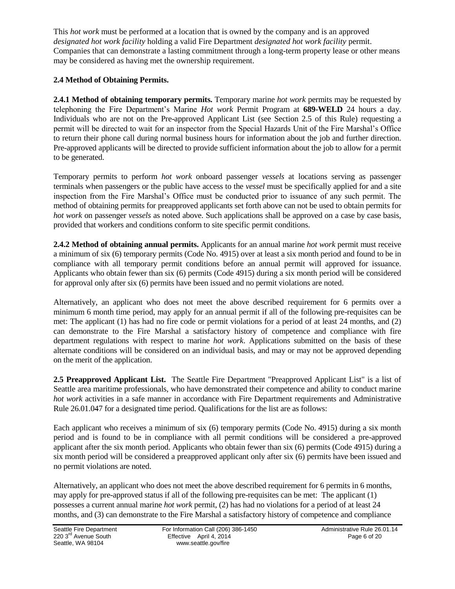This *hot work* must be performed at a location that is owned by the company and is an approved *designated hot work facility* holding a valid Fire Department *designated hot work facility* permit. Companies that can demonstrate a lasting commitment through a long-term property lease or other means may be considered as having met the ownership requirement.

## **2.4 Method of Obtaining Permits.**

**2.4.1 Method of obtaining temporary permits.** Temporary marine *hot work* permits may be requested by telephoning the Fire Department's Marine *Hot work* Permit Program at **689-WELD** 24 hours a day. Individuals who are not on the Pre-approved Applicant List (see Section 2.5 of this Rule) requesting a permit will be directed to wait for an inspector from the Special Hazards Unit of the Fire Marshal's Office to return their phone call during normal business hours for information about the job and further direction. Pre-approved applicants will be directed to provide sufficient information about the job to allow for a permit to be generated.

Temporary permits to perform *hot work* onboard passenger *vessels* at locations serving as passenger terminals when passengers or the public have access to the *vessel* must be specifically applied for and a site inspection from the Fire Marshal's Office must be conducted prior to issuance of any such permit. The method of obtaining permits for preapproved applicants set forth above can not be used to obtain permits for *hot work* on passenger *vessels* as noted above. Such applications shall be approved on a case by case basis, provided that workers and conditions conform to site specific permit conditions.

**2.4.2 Method of obtaining annual permits.** Applicants for an annual marine *hot work* permit must receive a minimum of six (6) temporary permits (Code No. 4915) over at least a six month period and found to be in compliance with all temporary permit conditions before an annual permit will approved for issuance. Applicants who obtain fewer than six (6) permits (Code 4915) during a six month period will be considered for approval only after six (6) permits have been issued and no permit violations are noted.

Alternatively, an applicant who does not meet the above described requirement for 6 permits over a minimum 6 month time period, may apply for an annual permit if all of the following pre-requisites can be met: The applicant (1) has had no fire code or permit violations for a period of at least 24 months, and (2) can demonstrate to the Fire Marshal a satisfactory history of competence and compliance with fire department regulations with respect to marine *hot work*. Applications submitted on the basis of these alternate conditions will be considered on an individual basis, and may or may not be approved depending on the merit of the application.

**2.5 Preapproved Applicant List.** The Seattle Fire Department "Preapproved Applicant List" is a list of Seattle area maritime professionals, who have demonstrated their competence and ability to conduct marine *hot work* activities in a safe manner in accordance with Fire Department requirements and Administrative Rule 26.01.047 for a designated time period. Qualifications for the list are as follows:

Each applicant who receives a minimum of six (6) temporary permits (Code No. 4915) during a six month period and is found to be in compliance with all permit conditions will be considered a pre-approved applicant after the six month period. Applicants who obtain fewer than six (6) permits (Code 4915) during a six month period will be considered a preapproved applicant only after six (6) permits have been issued and no permit violations are noted.

Alternatively, an applicant who does not meet the above described requirement for 6 permits in 6 months, may apply for pre-approved status if all of the following pre-requisites can be met: The applicant (1) possesses a current annual marine *hot work* permit, (2) has had no violations for a period of at least 24 months, and (3) can demonstrate to the Fire Marshal a satisfactory history of competence and compliance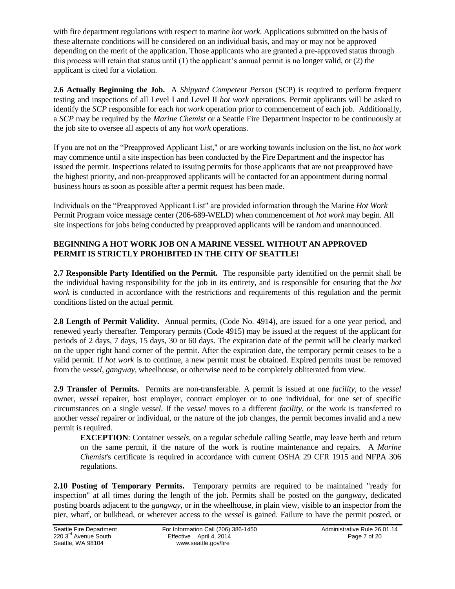with fire department regulations with respect to marine *hot work*. Applications submitted on the basis of these alternate conditions will be considered on an individual basis, and may or may not be approved depending on the merit of the application. Those applicants who are granted a pre-approved status through this process will retain that status until (1) the applicant's annual permit is no longer valid, or (2) the applicant is cited for a violation.

**2.6 Actually Beginning the Job.** A *Shipyard Competent Person* (SCP) is required to perform frequent testing and inspections of all Level I and Level II *hot work* operations. Permit applicants will be asked to identify the *SCP* responsible for each *hot work* operation prior to commencement of each job. Additionally, a *SCP* may be required by the *Marine Chemist* or a Seattle Fire Department inspector to be continuously at the job site to oversee all aspects of any *hot work* operations.

If you are not on the "Preapproved Applicant List," or are working towards inclusion on the list, no *hot work* may commence until a site inspection has been conducted by the Fire Department and the inspector has issued the permit. Inspections related to issuing permits for those applicants that are not preapproved have the highest priority, and non-preapproved applicants will be contacted for an appointment during normal business hours as soon as possible after a permit request has been made.

Individuals on the "Preapproved Applicant List" are provided information through the Marine *Hot Work* Permit Program voice message center (206-689-WELD) when commencement of *hot work* may begin. All site inspections for jobs being conducted by preapproved applicants will be random and unannounced.

## **BEGINNING A HOT WORK JOB ON A MARINE VESSEL WITHOUT AN APPROVED PERMIT IS STRICTLY PROHIBITED IN THE CITY OF SEATTLE!**

**2.7 Responsible Party Identified on the Permit.** The responsible party identified on the permit shall be the individual having responsibility for the job in its entirety, and is responsible for ensuring that the *hot work* is conducted in accordance with the restrictions and requirements of this regulation and the permit conditions listed on the actual permit.

**2.8 Length of Permit Validity.** Annual permits, (Code No. 4914), are issued for a one year period, and renewed yearly thereafter. Temporary permits (Code 4915) may be issued at the request of the applicant for periods of 2 days, 7 days, 15 days, 30 or 60 days. The expiration date of the permit will be clearly marked on the upper right hand corner of the permit. After the expiration date, the temporary permit ceases to be a valid permit. If *hot work* is to continue, a new permit must be obtained. Expired permits must be removed from the *vessel*, *gangway*, wheelhouse, or otherwise need to be completely obliterated from view.

**2.9 Transfer of Permits.** Permits are non-transferable. A permit is issued at one *facility*, to the *vessel* owner, *vessel* repairer, host employer, contract employer or to one individual, for one set of specific circumstances on a single *vessel*. If the *vessel* moves to a different *facility*, or the work is transferred to another *vessel* repairer or individual, or the nature of the job changes, the permit becomes invalid and a new permit is required.

**EXCEPTION:** Container *vessels*, on a regular schedule calling Seattle, may leave berth and return on the same permit, if the nature of the work is routine maintenance and repairs. A *Marine Chemist*'s certificate is required in accordance with current OSHA 29 CFR 1915 and NFPA 306 regulations.

**2.10 Posting of Temporary Permits.** Temporary permits are required to be maintained "ready for inspection" at all times during the length of the job. Permits shall be posted on the *gangway*, dedicated posting boards adjacent to the *gangway*, or in the wheelhouse, in plain view, visible to an inspector from the pier, wharf, or bulkhead, or wherever access to the *vessel* is gained. Failure to have the permit posted, or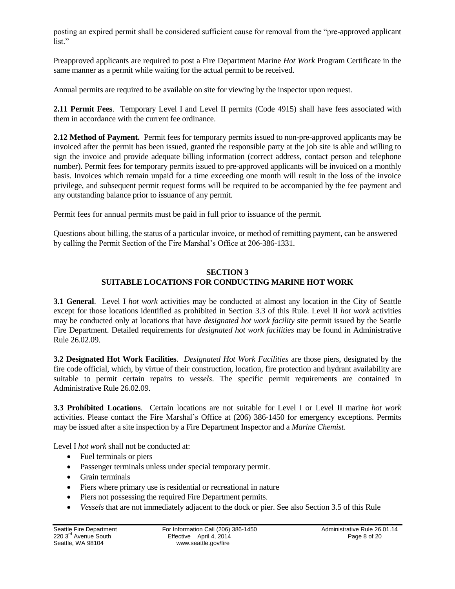posting an expired permit shall be considered sufficient cause for removal from the "pre-approved applicant list."

Preapproved applicants are required to post a Fire Department Marine *Hot Work* Program Certificate in the same manner as a permit while waiting for the actual permit to be received.

Annual permits are required to be available on site for viewing by the inspector upon request.

**2.11 Permit Fees**. Temporary Level I and Level II permits (Code 4915) shall have fees associated with them in accordance with the current fee ordinance.

**2.12 Method of Payment.** Permit fees for temporary permits issued to non-pre-approved applicants may be invoiced after the permit has been issued, granted the responsible party at the job site is able and willing to sign the invoice and provide adequate billing information (correct address, contact person and telephone number). Permit fees for temporary permits issued to pre-approved applicants will be invoiced on a monthly basis. Invoices which remain unpaid for a time exceeding one month will result in the loss of the invoice privilege, and subsequent permit request forms will be required to be accompanied by the fee payment and any outstanding balance prior to issuance of any permit.

Permit fees for annual permits must be paid in full prior to issuance of the permit.

Questions about billing, the status of a particular invoice, or method of remitting payment, can be answered by calling the Permit Section of the Fire Marshal's Office at 206-386-1331.

#### **SECTION 3 SUITABLE LOCATIONS FOR CONDUCTING MARINE HOT WORK**

**3.1 General.** Level I *hot work* activities may be conducted at almost any location in the City of Seattle except for those locations identified as prohibited in Section 3.3 of this Rule. Level II *hot work* activities may be conducted only at locations that have *designated hot work facility* site permit issued by the Seattle Fire Department. Detailed requirements for *designated hot work facilities* may be found in Administrative Rule 26.02.09.

**3.2 Designated Hot Work Facilities**. *Designated Hot Work Facilities* are those piers, designated by the fire code official, which, by virtue of their construction, location, fire protection and hydrant availability are suitable to permit certain repairs to *vessels*. The specific permit requirements are contained in Administrative Rule 26.02.09.

**3.3 Prohibited Locations**. Certain locations are not suitable for Level I or Level II marine *hot work* activities. Please contact the Fire Marshal's Office at (206) 386-1450 for emergency exceptions. Permits may be issued after a site inspection by a Fire Department Inspector and a *Marine Chemist*.

Level I *hot work* shall not be conducted at:

- Fuel terminals or piers
- Passenger terminals unless under special temporary permit.
- Grain terminals
- Piers where primary use is residential or recreational in nature
- Piers not possessing the required Fire Department permits.
- *Vessels* that are not immediately adjacent to the dock or pier. See also Section 3.5 of this Rule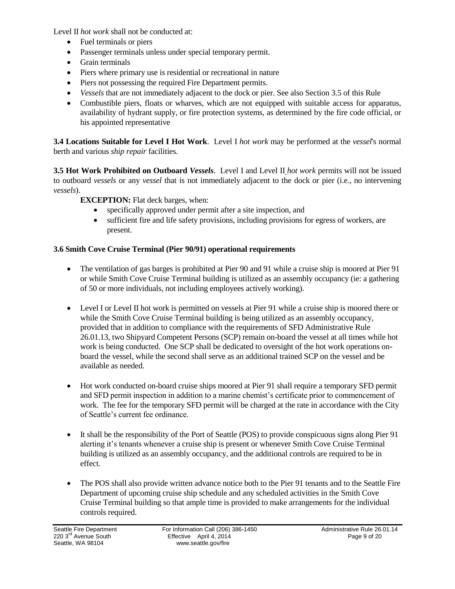Level II *hot work* shall not be conducted at:

- Fuel terminals or piers
- Passenger terminals unless under special temporary permit.
- Grain terminals
- Piers where primary use is residential or recreational in nature
- Piers not possessing the required Fire Department permits.
- *Vessels* that are not immediately adjacent to the dock or pier. See also Section 3.5 of this Rule
- Combustible piers, floats or wharves, which are not equipped with suitable access for apparatus, availability of hydrant supply, or fire protection systems, as determined by the fire code official, or his appointed representative

**3.4 Locations Suitable for Level I Hot Work**. Level I *hot work* may be performed at the *vessel*'s normal berth and various *ship repair* facilities.

**3.5 Hot Work Prohibited on Outboard** *Vessels*. Level I and Level II *hot work* permits will not be issued to outboard *vessels* or any *vessel* that is not immediately adjacent to the dock or pier (i.e., no intervening *vessels*).

**EXCEPTION:** Flat deck barges, when:

- specifically approved under permit after a site inspection, and
- sufficient fire and life safety provisions, including provisions for egress of workers, are present.

## **3.6 Smith Cove Cruise Terminal (Pier 90/91) operational requirements**

- The ventilation of gas barges is prohibited at Pier 90 and 91 while a cruise ship is moored at Pier 91 or while Smith Cove Cruise Terminal building is utilized as an assembly occupancy (ie: a gathering of 50 or more individuals, not including employees actively working).
- Level I or Level II hot work is permitted on vessels at Pier 91 while a cruise ship is moored there or while the Smith Cove Cruise Terminal building is being utilized as an assembly occupancy, provided that in addition to compliance with the requirements of SFD Administrative Rule 26.01.13, two Shipyard Competent Persons (SCP) remain on-board the vessel at all times while hot work is being conducted. One SCP shall be dedicated to oversight of the hot work operations onboard the vessel, while the second shall serve as an additional trained SCP on the vessel and be available as needed.
- Hot work conducted on-board cruise ships moored at Pier 91 shall require a temporary SFD permit and SFD permit inspection in addition to a marine chemist's certificate prior to commencement of work. The fee for the temporary SFD permit will be charged at the rate in accordance with the City of Seattle's current fee ordinance.
- It shall be the responsibility of the Port of Seattle (POS) to provide conspicuous signs along Pier 91 alerting it's tenants whenever a cruise ship is present or whenever Smith Cove Cruise Terminal building is utilized as an assembly occupancy, and the additional controls are required to be in effect.
- The POS shall also provide written advance notice both to the Pier 91 tenants and to the Seattle Fire Department of upcoming cruise ship schedule and any scheduled activities in the Smith Cove Cruise Terminal building so that ample time is provided to make arrangements for the individual controls required.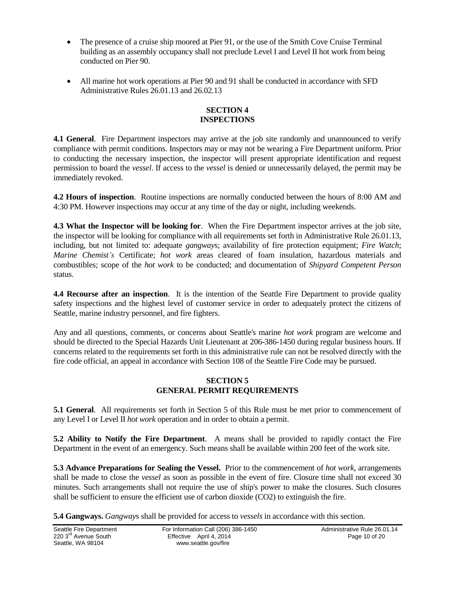- The presence of a cruise ship moored at Pier 91, or the use of the Smith Cove Cruise Terminal building as an assembly occupancy shall not preclude Level I and Level II hot work from being conducted on Pier 90.
- All marine hot work operations at Pier 90 and 91 shall be conducted in accordance with SFD Administrative Rules 26.01.13 and 26.02.13

### **SECTION 4 INSPECTIONS**

**4.1 General**. Fire Department inspectors may arrive at the job site randomly and unannounced to verify compliance with permit conditions. Inspectors may or may not be wearing a Fire Department uniform. Prior to conducting the necessary inspection, the inspector will present appropriate identification and request permission to board the *vessel*. If access to the *vessel* is denied or unnecessarily delayed, the permit may be immediately revoked.

**4.2 Hours of inspection**. Routine inspections are normally conducted between the hours of 8:00 AM and 4:30 PM. However inspections may occur at any time of the day or night, including weekends.

**4.3 What the Inspector will be looking for**. When the Fire Department inspector arrives at the job site, the inspector will be looking for compliance with all requirements set forth in Administrative Rule 26.01.13, including, but not limited to: adequate *gangway*s; availability of fire protection equipment; *Fire Watch*; *Marine Chemist's* Certificate; *hot work* areas cleared of foam insulation, hazardous materials and combustibles; scope of the *hot work* to be conducted; and documentation of *Shipyard Competent Person* status.

**4.4 Recourse after an inspection.** It is the intention of the Seattle Fire Department to provide quality safety inspections and the highest level of customer service in order to adequately protect the citizens of Seattle, marine industry personnel, and fire fighters.

Any and all questions, comments, or concerns about Seattle's marine *hot work* program are welcome and should be directed to the Special Hazards Unit Lieutenant at 206-386-1450 during regular business hours. If concerns related to the requirements set forth in this administrative rule can not be resolved directly with the fire code official, an appeal in accordance with Section 108 of the Seattle Fire Code may be pursued.

### **SECTION 5 GENERAL PERMIT REQUIREMENTS**

**5.1 General**. All requirements set forth in Section 5 of this Rule must be met prior to commencement of any Level I or Level II *hot work* operation and in order to obtain a permit.

**5.2 Ability to Notify the Fire Department**. A means shall be provided to rapidly contact the Fire Department in the event of an emergency. Such means shall be available within 200 feet of the work site.

**5.3 Advance Preparations for Sealing the Vessel.** Prior to the commencement of *hot work*, arrangements shall be made to close the *vessel* as soon as possible in the event of fire. Closure time shall not exceed 30 minutes. Such arrangements shall not require the use of ship's power to make the closures. Such closures shall be sufficient to ensure the efficient use of carbon dioxide (CO2) to extinguish the fire.

**5.4 Gangways.** *Gangway*s shall be provided for access to *vessels* in accordance with this section.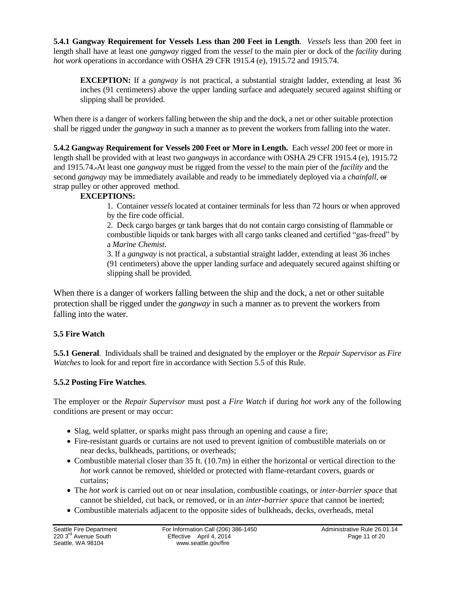**5.4.1 Gangway Requirement for Vessels Less than 200 Feet in Length**. *Vessels* less than 200 feet in length shall have at least one *gangway* rigged from the *vessel* to the main pier or dock of the *facility* during *hot work* operations in accordance with OSHA 29 CFR 1915.4 (e), 1915.72 and 1915.74.

**EXCEPTION:** If a *gangway* is not practical, a substantial straight ladder, extending at least 36 inches (91 centimeters) above the upper landing surface and adequately secured against shifting or slipping shall be provided.

When there is a danger of workers falling between the ship and the dock, a net or other suitable protection shall be rigged under the *gangway* in such a manner as to prevent the workers from falling into the water.

**5.4.2 Gangway Requirement for Vessels 200 Feet or More in Length.** Each *vessel* 200 feet or more in length shall be provided with at least two *gangway*s in accordance with OSHA 29 CFR 1915.4 (e), 1915.72 and 1915.74. At least one *gangway* must be rigged from the *vessel* to the main pier of the *facility* and the second *gangway* may be immediately available and ready to be immediately deployed via a *chainfall*, or strap pulley or other approved method.

# **EXCEPTIONS:**

1. Container *vessels* located at container terminals for less than 72 hours or when approved by the fire code official.

2. Deck cargo barges or tank barges that do not contain cargo consisting of flammable or combustible liquids or tank barges with all cargo tanks cleaned and certified "gas-freed" by a *Marine Chemist*.

3. If a *gangway* is not practical, a substantial straight ladder, extending at least 36 inches (91 centimeters) above the upper landing surface and adequately secured against shifting or slipping shall be provided.

When there is a danger of workers falling between the ship and the dock, a net or other suitable protection shall be rigged under the *gangway* in such a manner as to prevent the workers from falling into the water.

# **5.5 Fire Watch**

**5.5.1 General**. Individuals shall be trained and designated by the employer or the *Repair Supervisor* as *Fire Watches* to look for and report fire in accordance with Section 5.5 of this Rule.

# **5.5.2 Posting Fire Watches**.

The employer or the *Repair Supervisor* must post a *Fire Watch* if during *hot work* any of the following conditions are present or may occur:

- Slag, weld splatter, or sparks might pass through an opening and cause a fire;
- Fire-resistant guards or curtains are not used to prevent ignition of combustible materials on or near decks, bulkheads, partitions, or overheads;
- Combustible material closer than 35 ft. (10.7m) in either the horizontal or vertical direction to the *hot work* cannot be removed, shielded or protected with flame-retardant covers, guards or curtains;
- The *hot work* is carried out on or near insulation, combustible coatings, or *inter-barrier space* that cannot be shielded, cut back, or removed, or in an *inter-barrier space* that cannot be inerted;
- Combustible materials adjacent to the opposite sides of bulkheads, decks, overheads, metal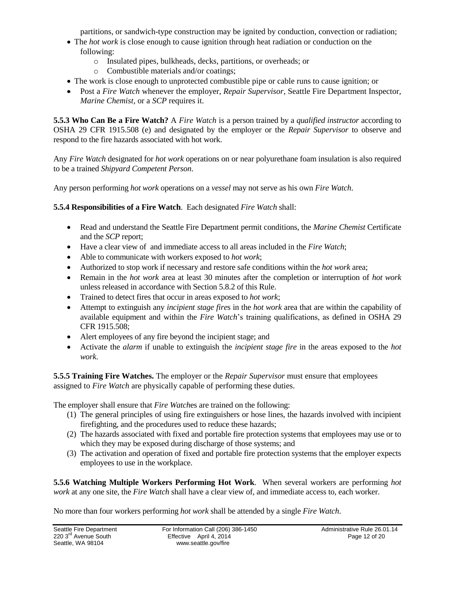partitions, or sandwich-type construction may be ignited by conduction, convection or radiation;

- The *hot work* is close enough to cause ignition through heat radiation or conduction on the following:
	- o Insulated pipes, bulkheads, decks, partitions, or overheads; or
	- o Combustible materials and/or coatings;
- The work is close enough to unprotected combustible pipe or cable runs to cause ignition; or
- Post a *Fire Watch* whenever the employer, *Repair Supervisor*, Seattle Fire Department Inspector, *Marine Chemist*, or a *SCP* requires it.

**5.5.3 Who Can Be a Fire Watch?** A *Fire Watch* is a person trained by a *qualified instructor* according to OSHA 29 CFR 1915.508 (e) and designated by the employer or the *Repair Supervisor* to observe and respond to the fire hazards associated with hot work.

Any *Fire Watch* designated for *hot work* operations on or near polyurethane foam insulation is also required to be a trained *Shipyard Competent Person*.

Any person performing *hot work* operations on a *vessel* may not serve as his own *Fire Watch*.

**5.5.4 Responsibilities of a Fire Watch**. Each designated *Fire Watch* shall:

- Read and understand the Seattle Fire Department permit conditions, the *Marine Chemist* Certificate and the *SCP* report;
- Have a clear view of and immediate access to all areas included in the *Fire Watch*;
- Able to communicate with workers exposed to *hot work*;
- Authorized to stop work if necessary and restore safe conditions within the *hot work* area;
- Remain in the *hot work* area at least 30 minutes after the completion or interruption of *hot work* unless released in accordance with Section 5.8.2 of this Rule.
- Trained to detect fires that occur in areas exposed to *hot work*;
- Attempt to extinguish any *incipient stage fire*s in the *hot work* area that are within the capability of available equipment and within the *Fire Watch*'s training qualifications, as defined in OSHA 29 CFR 1915.508;
- Alert employees of any fire beyond the incipient stage; and
- Activate the *alarm* if unable to extinguish the *incipient stage fire* in the areas exposed to the *hot work*.

**5.5.5 Training Fire Watches.** The employer or the *Repair Supervisor* must ensure that employees assigned to *Fire Watch* are physically capable of performing these duties.

The employer shall ensure that *Fire Watch*es are trained on the following:

- (1) The general principles of using fire extinguishers or hose lines, the hazards involved with incipient firefighting, and the procedures used to reduce these hazards;
- (2) The hazards associated with fixed and portable fire protection systems that employees may use or to which they may be exposed during discharge of those systems; and
- (3) The activation and operation of fixed and portable fire protection systems that the employer expects employees to use in the workplace.

**5.5.6 Watching Multiple Workers Performing Hot Work**. When several workers are performing *hot work* at any one site, the *Fire Watch* shall have a clear view of, and immediate access to, each worker.

No more than four workers performing *hot work* shall be attended by a single *Fire Watch*.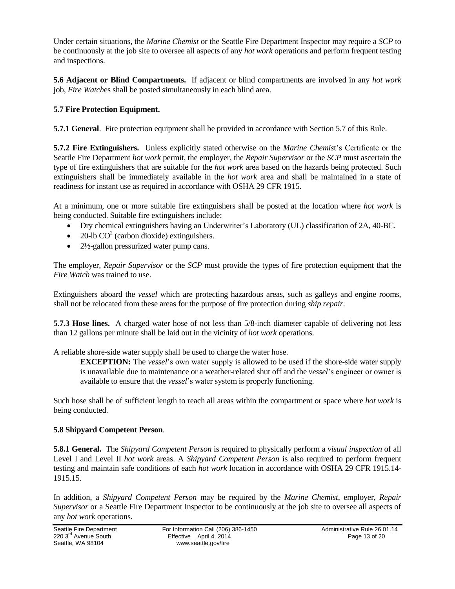Under certain situations, the *Marine Chemist* or the Seattle Fire Department Inspector may require a *SCP* to be continuously at the job site to oversee all aspects of any *hot work* operations and perform frequent testing and inspections.

**5.6 Adjacent or Blind Compartments.** If adjacent or blind compartments are involved in any *hot work* job, *Fire Watch*es shall be posted simultaneously in each blind area.

### **5.7 Fire Protection Equipment.**

**5.7.1 General**. Fire protection equipment shall be provided in accordance with Section 5.7 of this Rule.

**5.7.2 Fire Extinguishers.** Unless explicitly stated otherwise on the *Marine Chemis*t's Certificate or the Seattle Fire Department *hot work* permit, the employer, the *Repair Supervisor* or the *SCP* must ascertain the type of fire extinguishers that are suitable for the *hot work* area based on the hazards being protected. Such extinguishers shall be immediately available in the *hot work* area and shall be maintained in a state of readiness for instant use as required in accordance with OSHA 29 CFR 1915.

At a minimum, one or more suitable fire extinguishers shall be posted at the location where *hot work* is being conducted. Suitable fire extinguishers include:

- Dry chemical extinguishers having an Underwriter's Laboratory (UL) classification of 2A, 40-BC.
- 20-lb  $CO<sup>2</sup>$  (carbon dioxide) extinguishers.
- 2<sup>1</sup>/<sub>2</sub>-gallon pressurized water pump cans.

The employer, *Repair Supervisor* or the *SCP* must provide the types of fire protection equipment that the *Fire Watch* was trained to use.

Extinguishers aboard the *vessel* which are protecting hazardous areas, such as galleys and engine rooms, shall not be relocated from these areas for the purpose of fire protection during *ship repair*.

**5.7.3 Hose lines.** A charged water hose of not less than 5/8-inch diameter capable of delivering not less than 12 gallons per minute shall be laid out in the vicinity of *hot work* operations.

A reliable shore-side water supply shall be used to charge the water hose.

**EXCEPTION:** The *vessel*'s own water supply is allowed to be used if the shore-side water supply is unavailable due to maintenance or a weather-related shut off and the *vessel*'s engineer or owner is available to ensure that the *vessel*'s water system is properly functioning.

Such hose shall be of sufficient length to reach all areas within the compartment or space where *hot work* is being conducted.

### **5.8 Shipyard Competent Person**.

**5.8.1 General.** The *Shipyard Competent Person* is required to physically perform a *visual inspection* of all Level I and Level II *hot work* areas. A *Shipyard Competent Person* is also required to perform frequent testing and maintain safe conditions of each *hot work* location in accordance with OSHA 29 CFR 1915.14- 1915.15.

In addition, a *Shipyard Competent Person* may be required by the *Marine Chemist*, employer, *Repair Supervisor* or a Seattle Fire Department Inspector to be continuously at the job site to oversee all aspects of any *hot work* operations.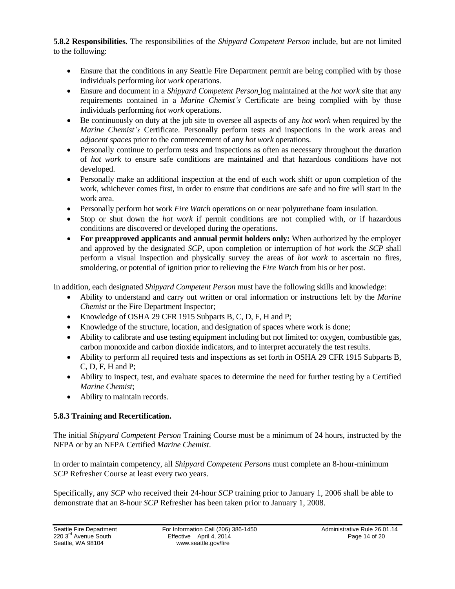**5.8.2 Responsibilities.** The responsibilities of the *Shipyard Competent Person* include, but are not limited to the following:

- Ensure that the conditions in any Seattle Fire Department permit are being complied with by those individuals performing *hot work* operations.
- Ensure and document in a *Shipyard Competent Person* log maintained at the *hot work* site that any requirements contained in a *Marine Chemist's* Certificate are being complied with by those individuals performing *hot work* operations.
- Be continuously on duty at the job site to oversee all aspects of any *hot work* when required by the *Marine Chemist's* Certificate. Personally perform tests and inspections in the work areas and *adjacent spaces* prior to the commencement of any *hot work* operations.
- Personally continue to perform tests and inspections as often as necessary throughout the duration of *hot work* to ensure safe conditions are maintained and that hazardous conditions have not developed.
- Personally make an additional inspection at the end of each work shift or upon completion of the work, whichever comes first, in order to ensure that conditions are safe and no fire will start in the work area.
- Personally perform hot work *Fire Watch* operations on or near polyurethane foam insulation.
- Stop or shut down the *hot work* if permit conditions are not complied with, or if hazardous conditions are discovered or developed during the operations.
- **For preapproved applicants and annual permit holders only:** When authorized by the employer and approved by the designated *SCP*, upon completion or interruption of *hot wor*k the *SCP* shall perform a visual inspection and physically survey the areas of *hot work* to ascertain no fires, smoldering, or potential of ignition prior to relieving the *Fire Watch* from his or her post.

In addition, each designated *Shipyard Competent Person* must have the following skills and knowledge:

- Ability to understand and carry out written or oral information or instructions left by the *Marine Chemist* or the Fire Department Inspector;
- Knowledge of OSHA 29 CFR 1915 Subparts B, C, D, F, H and P;
- Knowledge of the structure, location, and designation of spaces where work is done;
- Ability to calibrate and use testing equipment including but not limited to: oxygen, combustible gas, carbon monoxide and carbon dioxide indicators, and to interpret accurately the test results.
- Ability to perform all required tests and inspections as set forth in OSHA 29 CFR 1915 Subparts B, C, D, F, H and P;
- Ability to inspect, test, and evaluate spaces to determine the need for further testing by a Certified *Marine Chemist*;
- Ability to maintain records.

# **5.8.3 Training and Recertification.**

The initial *Shipyard Competent Person* Training Course must be a minimum of 24 hours, instructed by the NFPA or by an NFPA Certified *Marine Chemist*.

In order to maintain competency, all *Shipyard Competent Person*s must complete an 8-hour-minimum *SCP* Refresher Course at least every two years.

Specifically, any *SCP* who received their 24-hour *SCP* training prior to January 1, 2006 shall be able to demonstrate that an 8-hour *SCP* Refresher has been taken prior to January 1, 2008.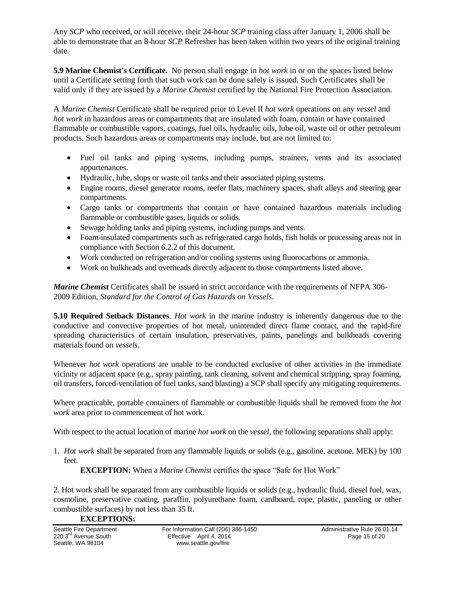Any *SCP* who received, or will receive, their 24-hour *SCP* training class after January 1, 2006 shall be able to demonstrate that an 8-hour *SCP* Refresher has been taken within two years of the original training date.

**5.9 Marine Chemist's Certificate.** No person shall engage in *hot work* in or on the spaces listed below until a Certificate setting forth that such work can be done safely is issued. Such Certificates shall be valid only if they are issued by a *Marine Chemist* certified by the National Fire Protection Association.

A *Marine Chemist* Certificate shall be required prior to Level II *hot work* operations on any *vessel* and *hot work* in hazardous areas or compartments that are insulated with foam, contain or have contained flammable or combustible vapors, coatings, fuel oils, hydraulic oils, lube oil, waste oil or other petroleum products. Such hazardous areas or compartments may include, but are not limited to:

- Fuel oil tanks and piping systems, including pumps, strainers, vents and its associated appurtenances.
- Hydraulic, lube, slops or waste oil tanks and their associated piping systems.
- Engine rooms, diesel generator rooms, reefer flats, machinery spaces, shaft alleys and steering gear compartments.
- Cargo tanks or compartments that contain or have contained hazardous materials including flammable or combustible gases, liquids or solids.
- Sewage holding tanks and piping systems, including pumps and vents.
- Foam-insulated compartments such as refrigerated cargo holds, fish holds or processing areas not in compliance with Section 6.2.2 of this document.
- Work conducted on refrigeration and/or cooling systems using fluorocarbons or ammonia.
- Work on bulkheads and overheads directly adjacent to those compartments listed above.

*Marine Chemist* Certificates shall be issued in strict accordance with the requirements of NFPA 306- 2009 Edition, *Standard for the Control of Gas Hazards on Vessels*.

**5.10 Required Setback Distances**. *Hot work* in the marine industry is inherently dangerous due to the conductive and convective properties of hot metal, unintended direct flame contact, and the rapid-fire spreading characteristics of certain insulation, preservatives, paints, panelings and bulkheads covering materials found on *vessels*.

Whenever *hot work* operations are unable to be conducted exclusive of other activities in the immediate vicinity or adjacent space (e.g., spray painting, tank cleaning, solvent and chemical stripping, spray foaming, oil transfers, forced-ventilation of fuel tanks, sand blasting) a SCP shall specify any mitigating requirements.

Where practicable, portable containers of flammable or combustible liquids shall be removed from the *hot work* area prior to commencement of hot work.

With respect to the actual location of marine *hot work* on the *vessel*, the following separations shall apply:

1. *Hot work* shall be separated from any flammable liquids or solids (e.g., gasoline, acetone, MEK) by 100 feet.

**EXCEPTION:** When a *Marine Chemist* certifies the space "Safe for Hot Work"

2. Hot work shall be separated from any combustible liquids or solids (e.g., hydraulic fluid, diesel fuel, wax, cosmoline, preservative coating, paraffin, polyurethane foam, cardboard, rope, plastic, paneling or other combustible surfaces) by not less than 35 ft.

## **EXCEPTIONS:**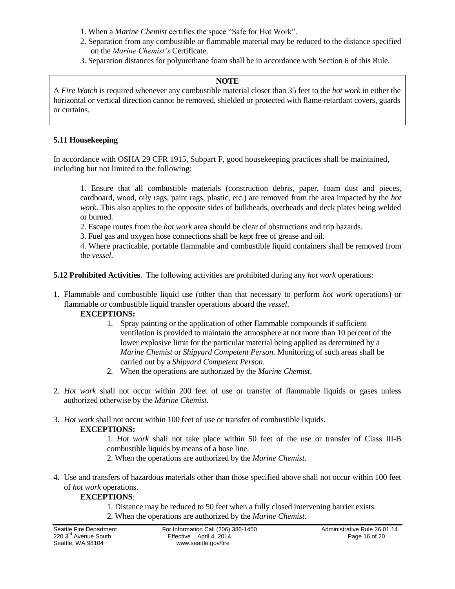- 1. When a *Marine Chemist* certifies the space "Safe for Hot Work".
- 2. Separation from any combustible or flammable material may be reduced to the distance specified on the *Marine Chemist's* Certificate.
- 3. Separation distances for polyurethane foam shall be in accordance with Section 6 of this Rule.

#### **NOTE**

A *Fire Watch* is required whenever any combustible material closer than 35 feet to the *hot work* in either the horizontal or vertical direction cannot be removed, shielded or protected with flame-retardant covers, guards or curtains.

#### **5.11 Housekeeping**

In accordance with OSHA 29 CFR 1915, Subpart F, good housekeeping practices shall be maintained, including but not limited to the following:

1. Ensure that all combustible materials (construction debris, paper, foam dust and pieces, cardboard, wood, oily rags, paint rags, plastic, etc.) are removed from the area impacted by the *hot work*. This also applies to the opposite sides of bulkheads, overheads and deck plates being welded or burned.

2. Escape routes from the *hot work* area should be clear of obstructions and trip hazards.

3. Fuel gas and oxygen hose connections shall be kept free of grease and oil.

4. Where practicable, portable flammable and combustible liquid containers shall be removed from the *vessel*.

**5.12 Prohibited Activities**. The following activities are prohibited during any *hot work* operations:

1. Flammable and combustible liquid use (other than that necessary to perform *hot work* operations) or flammable or combustible liquid transfer operations aboard the *vessel*.

### **EXCEPTIONS:**

- 1. Spray painting or the application of other flammable compounds if sufficient ventilation is provided to maintain the atmosphere at not more than 10 percent of the lower explosive limit for the particular material being applied as determined by a *Marine Chemist* or *Shipyard Competent Person*. Monitoring of such areas shall be carried out by a *Shipyard Competent Person*.
- 2. When the operations are authorized by the *Marine Chemist*.
- 2. *Hot work* shall not occur within 200 feet of use or transfer of flammable liquids or gases unless authorized otherwise by the *Marine Chemist*.
- 3. *Hot work* shall not occur within 100 feet of use or transfer of combustible liquids. **EXCEPTIONS:**

1. *Hot work* shall not take place within 50 feet of the use or transfer of Class III-B combustible liquids by means of a hose line.

- 2. When the operations are authorized by the *Marine Chemist*.
- 4. Use and transfers of hazardous materials other than those specified above shall not occur within 100 feet of *hot work* operations.

### **EXCEPTIONS**:

1. Distance may be reduced to 50 feet when a fully closed intervening barrier exists. 2. When the operations are authorized by the *Marine Chemist*.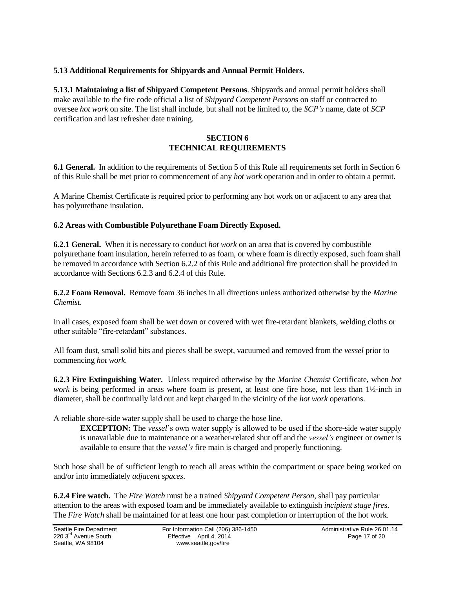### **5.13 Additional Requirements for Shipyards and Annual Permit Holders.**

**5.13.1 Maintaining a list of Shipyard Competent Persons**. Shipyards and annual permit holders shall make available to the fire code official a list of *Shipyard Competent Person*s on staff or contracted to oversee *hot work* on site. The list shall include, but shall not be limited to, the *SCP's* name, date of *SCP* certification and last refresher date training.

### **SECTION 6 TECHNICAL REQUIREMENTS**

**6.1 General.** In addition to the requirements of Section 5 of this Rule all requirements set forth in Section 6 of this Rule shall be met prior to commencement of any *hot work* operation and in order to obtain a permit.

A Marine Chemist Certificate is required prior to performing any hot work on or adjacent to any area that has polyurethane insulation.

## **6.2 Areas with Combustible Polyurethane Foam Directly Exposed.**

**6.2.1 General.** When it is necessary to conduct *hot work* on an area that is covered by combustible polyurethane foam insulation, herein referred to as foam, or where foam is directly exposed, such foam shall be removed in accordance with Section 6.2.2 of this Rule and additional fire protection shall be provided in accordance with Sections 6.2.3 and 6.2.4 of this Rule.

**6.2.2 Foam Removal.** Remove foam 36 inches in all directions unless authorized otherwise by the *Marine Chemist*.

In all cases, exposed foam shall be wet down or covered with wet fire-retardant blankets, welding cloths or other suitable "fire-retardant" substances.

All foam dust, small solid bits and pieces shall be swept, vacuumed and removed from the *vessel* prior to commencing *hot work*.

**6.2.3 Fire Extinguishing Water.** Unless required otherwise by the *Marine Chemist* Certificate, when *hot work* is being performed in areas where foam is present, at least one fire hose, not less than 1½-inch in diameter, shall be continually laid out and kept charged in the vicinity of the *hot work* operations.

A reliable shore-side water supply shall be used to charge the hose line.

**EXCEPTION:** The *vessel*'s own water supply is allowed to be used if the shore-side water supply is unavailable due to maintenance or a weather-related shut off and the *vessel's* engineer or owner is available to ensure that the *vessel's* fire main is charged and properly functioning.

Such hose shall be of sufficient length to reach all areas within the compartment or space being worked on and/or into immediately *adjacent spaces*.

**6.2.4 Fire watch.** The *Fire Watch* must be a trained *Shipyard Competent Person*, shall pay particular attention to the areas with exposed foam and be immediately available to extinguish *incipient stage fire*s. The *Fire Watch* shall be maintained for at least one hour past completion or interruption of the hot work.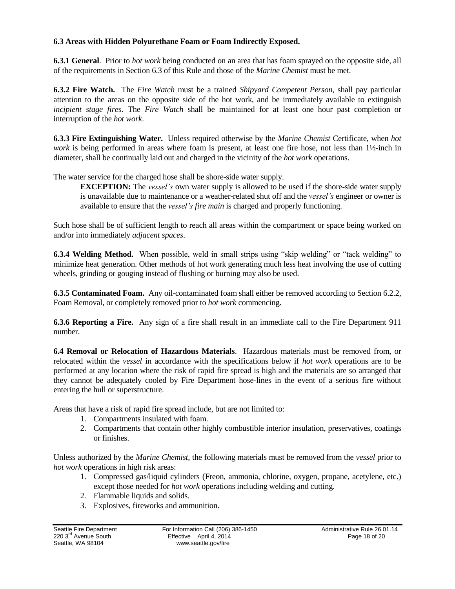## **6.3 Areas with Hidden Polyurethane Foam or Foam Indirectly Exposed.**

**6.3.1 General**. Prior to *hot work* being conducted on an area that has foam sprayed on the opposite side, all of the requirements in Section 6.3 of this Rule and those of the *Marine Chemist* must be met.

**6.3.2 Fire Watch.** The *Fire Watch* must be a trained *Shipyard Competent Person*, shall pay particular attention to the areas on the opposite side of the hot work, and be immediately available to extinguish *incipient stage fire*s. The *Fire Watch* shall be maintained for at least one hour past completion or interruption of the *hot work*.

**6.3.3 Fire Extinguishing Water.** Unless required otherwise by the *Marine Chemist* Certificate, when *hot work* is being performed in areas where foam is present, at least one fire hose, not less than 1½-inch in diameter, shall be continually laid out and charged in the vicinity of the *hot work* operations.

The water service for the charged hose shall be shore-side water supply.

**EXCEPTION:** The *vessel's* own water supply is allowed to be used if the shore-side water supply is unavailable due to maintenance or a weather-related shut off and the *vessel's* engineer or owner is available to ensure that the *vessel's fire main* is charged and properly functioning.

Such hose shall be of sufficient length to reach all areas within the compartment or space being worked on and/or into immediately *adjacent spaces*.

**6.3.4 Welding Method.** When possible, weld in small strips using "skip welding" or "tack welding" to minimize heat generation. Other methods of hot work generating much less heat involving the use of cutting wheels, grinding or gouging instead of flushing or burning may also be used.

**6.3.5 Contaminated Foam.** Any oil-contaminated foam shall either be removed according to Section 6.2.2, Foam Removal, or completely removed prior to *hot work* commencing.

**6.3.6 Reporting a Fire.** Any sign of a fire shall result in an immediate call to the Fire Department 911 number.

**6.4 Removal or Relocation of Hazardous Materials**. Hazardous materials must be removed from, or relocated within the *vessel* in accordance with the specifications below if *hot work* operations are to be performed at any location where the risk of rapid fire spread is high and the materials are so arranged that they cannot be adequately cooled by Fire Department hose-lines in the event of a serious fire without entering the hull or superstructure.

Areas that have a risk of rapid fire spread include, but are not limited to:

- 1. Compartments insulated with foam.
- 2. Compartments that contain other highly combustible interior insulation, preservatives, coatings or finishes.

Unless authorized by the *Marine Chemist*, the following materials must be removed from the *vessel* prior to *hot work* operations in high risk areas:

- 1. Compressed gas/liquid cylinders (Freon, ammonia, chlorine, oxygen, propane, acetylene, etc.) except those needed for *hot work* operations including welding and cutting.
- 2. Flammable liquids and solids.
- 3. Explosives, fireworks and ammunition.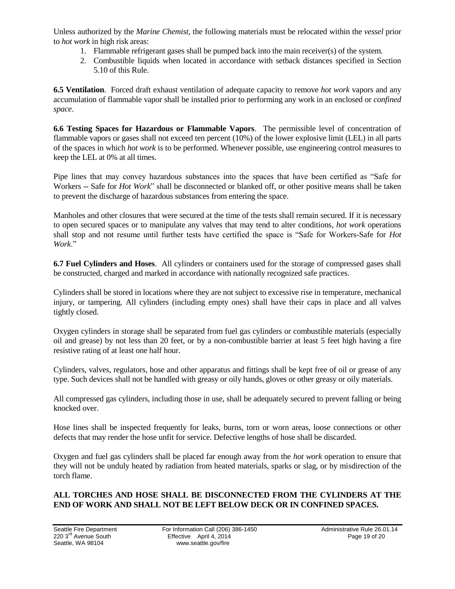Unless authorized by the *Marine Chemist*, the following materials must be relocated within the *vessel* prior to *hot work* in high risk areas:

- 1. Flammable refrigerant gases shall be pumped back into the main receiver(s) of the system.
- 2. Combustible liquids when located in accordance with setback distances specified in Section 5.10 of this Rule.

**6.5 Ventilation**. Forced draft exhaust ventilation of adequate capacity to remove *hot work* vapors and any accumulation of flammable vapor shall be installed prior to performing any work in an enclosed or *confined space*.

**6.6 Testing Spaces for Hazardous or Flammable Vapors**. The permissible level of concentration of flammable vapors or gases shall not exceed ten percent (10%) of the lower explosive limit (LEL) in all parts of the spaces in which *hot work* is to be performed. Whenever possible, use engineering control measures to keep the LEL at 0% at all times.

Pipe lines that may convey hazardous substances into the spaces that have been certified as "Safe for Workers -- Safe for *Hot Work*" shall be disconnected or blanked off, or other positive means shall be taken to prevent the discharge of hazardous substances from entering the space.

Manholes and other closures that were secured at the time of the tests shall remain secured. If it is necessary to open secured spaces or to manipulate any valves that may tend to alter conditions, *hot work* operations shall stop and not resume until further tests have certified the space is "Safe for Workers-Safe for *Hot Work*."

**6.7 Fuel Cylinders and Hoses**. All cylinders or containers used for the storage of compressed gases shall be constructed, charged and marked in accordance with nationally recognized safe practices.

Cylinders shall be stored in locations where they are not subject to excessive rise in temperature, mechanical injury, or tampering. All cylinders (including empty ones) shall have their caps in place and all valves tightly closed.

Oxygen cylinders in storage shall be separated from fuel gas cylinders or combustible materials (especially oil and grease) by not less than 20 feet, or by a non-combustible barrier at least 5 feet high having a fire resistive rating of at least one half hour.

Cylinders, valves, regulators, hose and other apparatus and fittings shall be kept free of oil or grease of any type. Such devices shall not be handled with greasy or oily hands, gloves or other greasy or oily materials.

All compressed gas cylinders, including those in use, shall be adequately secured to prevent falling or being knocked over.

Hose lines shall be inspected frequently for leaks, burns, torn or worn areas, loose connections or other defects that may render the hose unfit for service. Defective lengths of hose shall be discarded.

Oxygen and fuel gas cylinders shall be placed far enough away from the *hot work* operation to ensure that they will not be unduly heated by radiation from heated materials, sparks or slag, or by misdirection of the torch flame.

### **ALL TORCHES AND HOSE SHALL BE DISCONNECTED FROM THE CYLINDERS AT THE END OF WORK AND SHALL NOT BE LEFT BELOW DECK OR IN CONFINED SPACES.**